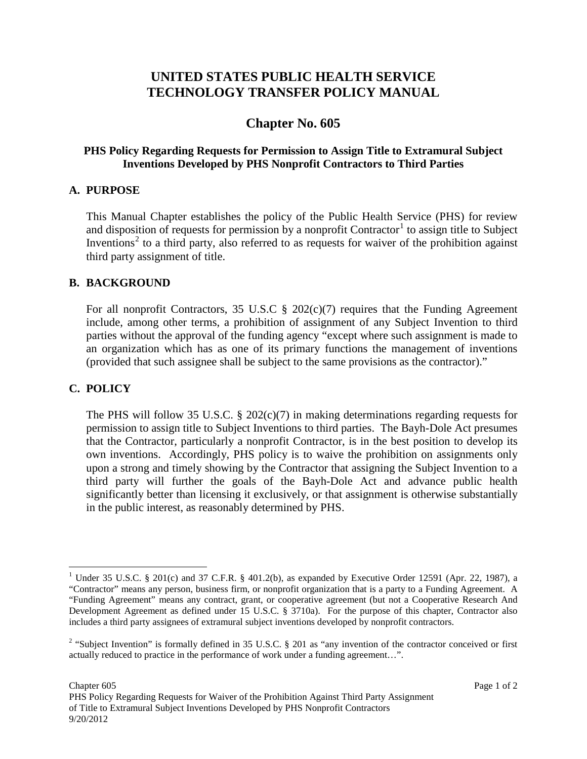# **UNITED STATES PUBLIC HEALTH SERVICE TECHNOLOGY TRANSFER POLICY MANUAL**

# **Chapter No. 605**

### **PHS Policy Regarding Requests for Permission to Assign Title to Extramural Subject Inventions Developed by PHS Nonprofit Contractors to Third Parties**

### **A. PURPOSE**

This Manual Chapter establishes the policy of the Public Health Service (PHS) for review and disposition of requests for permission by a nonprofit  $Contractor<sup>1</sup>$  $Contractor<sup>1</sup>$  $Contractor<sup>1</sup>$  to assign title to Subject Inventions<sup>[2](#page-0-1)</sup> to a third party, also referred to as requests for waiver of the prohibition against third party assignment of title.

#### **B. BACKGROUND**

For all nonprofit Contractors, 35 U.S.C  $\S$  202(c)(7) requires that the Funding Agreement include, among other terms, a prohibition of assignment of any Subject Invention to third parties without the approval of the funding agency "except where such assignment is made to an organization which has as one of its primary functions the management of inventions (provided that such assignee shall be subject to the same provisions as the contractor)."

## **C. POLICY**

The PHS will follow 35 U.S.C. § 202(c)(7) in making determinations regarding requests for permission to assign title to Subject Inventions to third parties. The Bayh-Dole Act presumes that the Contractor, particularly a nonprofit Contractor, is in the best position to develop its own inventions. Accordingly, PHS policy is to waive the prohibition on assignments only upon a strong and timely showing by the Contractor that assigning the Subject Invention to a third party will further the goals of the Bayh-Dole Act and advance public health significantly better than licensing it exclusively, or that assignment is otherwise substantially in the public interest, as reasonably determined by PHS.

<span id="page-0-0"></span><sup>&</sup>lt;sup>1</sup> Under 35 U.S.C. § 201(c) and 37 C.F.R. § 401.2(b), as expanded by Executive Order 12591 (Apr. 22, 1987), a "Contractor" means any person, business firm, or nonprofit organization that is a party to a Funding Agreement. A "Funding Agreement" means any contract, grant, or cooperative agreement (but not a Cooperative Research And Development Agreement as defined under 15 U.S.C. § 3710a). For the purpose of this chapter, Contractor also includes a third party assignees of extramural subject inventions developed by nonprofit contractors.

<span id="page-0-1"></span><sup>&</sup>lt;sup>2</sup> "Subject Invention" is formally defined in 35 U.S.C. § 201 as "any invention of the contractor conceived or first actually reduced to practice in the performance of work under a funding agreement…".